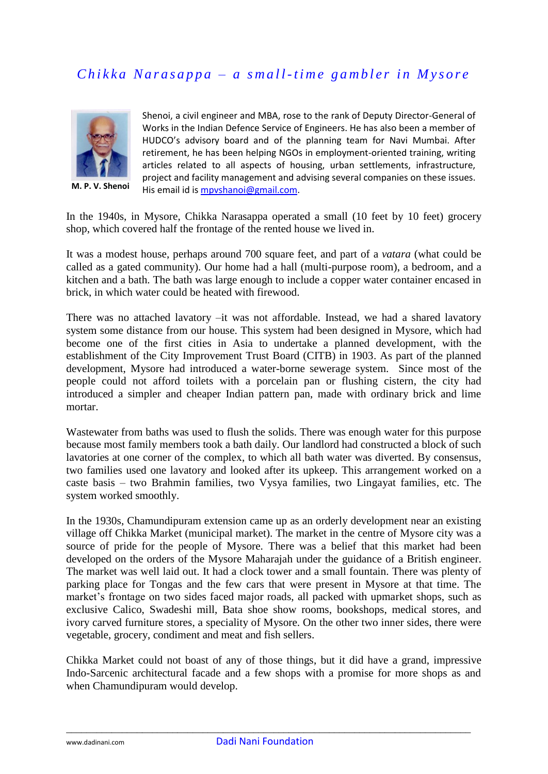## *Chikka Narasappa – a small-time gambler in Mysore*



**M. P. V. Shenoi**

Shenoi, a civil engineer and MBA, rose to the rank of Deputy Director-General of Works in the Indian Defence Service of Engineers. He has also been a member of HUDCO's advisory board and of the planning team for Navi Mumbai. After retirement, he has been helping NGOs in employment-oriented training, writing articles related to all aspects of housing, urban settlements, infrastructure, project and facility management and advising several companies on these issues. His email id is [mpvshanoi@gmail.com.](mailto:mpvshanoi@gmail.com)

In the 1940s, in Mysore, Chikka Narasappa operated a small (10 feet by 10 feet) grocery shop, which covered half the frontage of the rented house we lived in.

It was a modest house, perhaps around 700 square feet, and part of a *vatara* (what could be called as a gated community). Our home had a hall (multi-purpose room), a bedroom, and a kitchen and a bath. The bath was large enough to include a copper water container encased in brick, in which water could be heated with firewood.

There was no attached lavatory –it was not affordable. Instead, we had a shared lavatory system some distance from our house. This system had been designed in Mysore, which had become one of the first cities in Asia to undertake a planned development, with the establishment of the City Improvement Trust Board (CITB) in 1903. As part of the planned development, Mysore had introduced a water-borne sewerage system. Since most of the people could not afford toilets with a porcelain pan or flushing cistern, the city had introduced a simpler and cheaper Indian pattern pan, made with ordinary brick and lime mortar.

Wastewater from baths was used to flush the solids. There was enough water for this purpose because most family members took a bath daily. Our landlord had constructed a block of such lavatories at one corner of the complex, to which all bath water was diverted. By consensus, two families used one lavatory and looked after its upkeep. This arrangement worked on a caste basis – two Brahmin families, two Vysya families, two Lingayat families, etc. The system worked smoothly.

In the 1930s, Chamundipuram extension came up as an orderly development near an existing village off Chikka Market (municipal market). The market in the centre of Mysore city was a source of pride for the people of Mysore. There was a belief that this market had been developed on the orders of the Mysore Maharajah under the guidance of a British engineer. The market was well laid out. It had a clock tower and a small fountain. There was plenty of parking place for Tongas and the few cars that were present in Mysore at that time. The market's frontage on two sides faced major roads, all packed with upmarket shops, such as exclusive Calico, Swadeshi mill, Bata shoe show rooms, bookshops, medical stores, and ivory carved furniture stores, a speciality of Mysore. On the other two inner sides, there were vegetable, grocery, condiment and meat and fish sellers.

Chikka Market could not boast of any of those things, but it did have a grand, impressive Indo-Sarcenic architectural facade and a few shops with a promise for more shops as and when Chamundipuram would develop.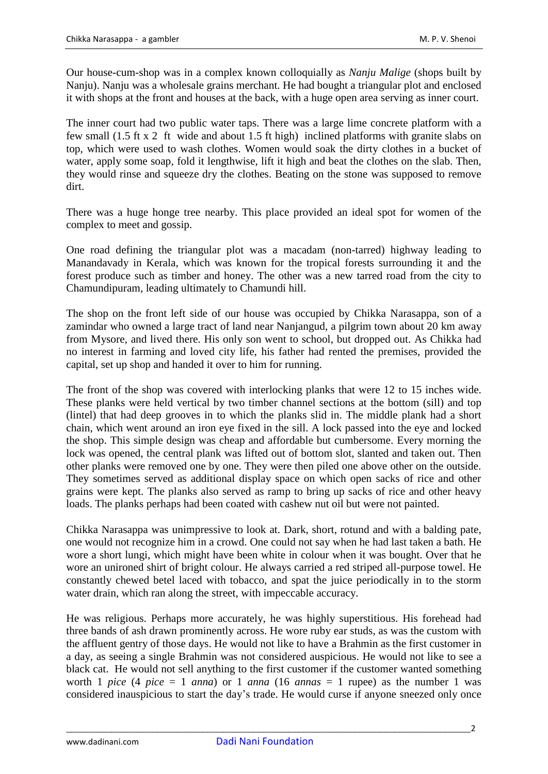Our house-cum-shop was in a complex known colloquially as *Nanju Malige* (shops built by Nanju). Nanju was a wholesale grains merchant. He had bought a triangular plot and enclosed it with shops at the front and houses at the back, with a huge open area serving as inner court.

The inner court had two public water taps. There was a large lime concrete platform with a few small (1.5 ft x 2 ft wide and about 1.5 ft high) inclined platforms with granite slabs on top, which were used to wash clothes. Women would soak the dirty clothes in a bucket of water, apply some soap, fold it lengthwise, lift it high and beat the clothes on the slab. Then, they would rinse and squeeze dry the clothes. Beating on the stone was supposed to remove dirt.

There was a huge honge tree nearby. This place provided an ideal spot for women of the complex to meet and gossip.

One road defining the triangular plot was a macadam (non-tarred) highway leading to Manandavady in Kerala, which was known for the tropical forests surrounding it and the forest produce such as timber and honey. The other was a new tarred road from the city to Chamundipuram, leading ultimately to Chamundi hill.

The shop on the front left side of our house was occupied by Chikka Narasappa, son of a zamindar who owned a large tract of land near Nanjangud, a pilgrim town about 20 km away from Mysore, and lived there. His only son went to school, but dropped out. As Chikka had no interest in farming and loved city life, his father had rented the premises, provided the capital, set up shop and handed it over to him for running.

The front of the shop was covered with interlocking planks that were 12 to 15 inches wide. These planks were held vertical by two timber channel sections at the bottom (sill) and top (lintel) that had deep grooves in to which the planks slid in. The middle plank had a short chain, which went around an iron eye fixed in the sill. A lock passed into the eye and locked the shop. This simple design was cheap and affordable but cumbersome. Every morning the lock was opened, the central plank was lifted out of bottom slot, slanted and taken out. Then other planks were removed one by one. They were then piled one above other on the outside. They sometimes served as additional display space on which open sacks of rice and other grains were kept. The planks also served as ramp to bring up sacks of rice and other heavy loads. The planks perhaps had been coated with cashew nut oil but were not painted.

Chikka Narasappa was unimpressive to look at. Dark, short, rotund and with a balding pate, one would not recognize him in a crowd. One could not say when he had last taken a bath. He wore a short lungi, which might have been white in colour when it was bought. Over that he wore an unironed shirt of bright colour. He always carried a red striped all-purpose towel. He constantly chewed betel laced with tobacco, and spat the juice periodically in to the storm water drain, which ran along the street, with impeccable accuracy.

He was religious. Perhaps more accurately, he was highly superstitious. His forehead had three bands of ash drawn prominently across. He wore ruby ear studs, as was the custom with the affluent gentry of those days. He would not like to have a Brahmin as the first customer in a day, as seeing a single Brahmin was not considered auspicious. He would not like to see a black cat. He would not sell anything to the first customer if the customer wanted something worth 1 *pice* (4 *pice* = 1 *anna*) or 1 *anna* (16 *annas* = 1 rupee) as the number 1 was considered inauspicious to start the day"s trade. He would curse if anyone sneezed only once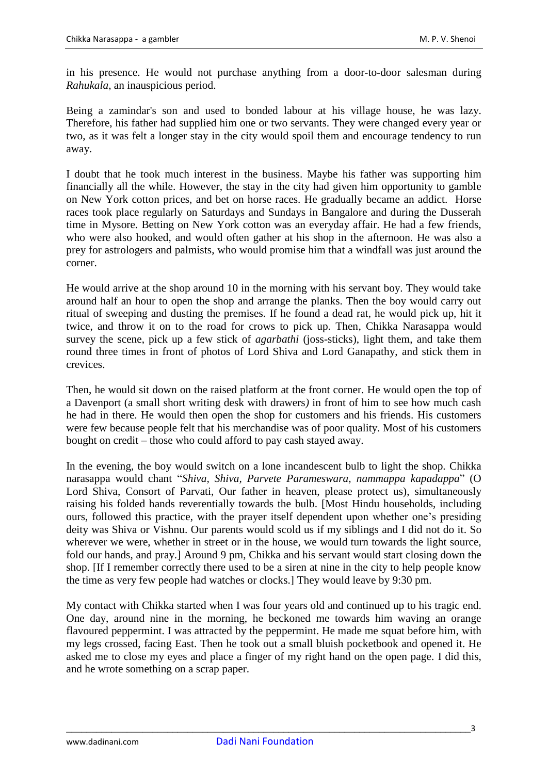in his presence. He would not purchase anything from a door-to-door salesman during *Rahukala*, an inauspicious period.

Being a zamindar's son and used to bonded labour at his village house, he was lazy. Therefore, his father had supplied him one or two servants. They were changed every year or two, as it was felt a longer stay in the city would spoil them and encourage tendency to run away.

I doubt that he took much interest in the business. Maybe his father was supporting him financially all the while. However, the stay in the city had given him opportunity to gamble on New York cotton prices, and bet on horse races. He gradually became an addict. Horse races took place regularly on Saturdays and Sundays in Bangalore and during the Dusserah time in Mysore. Betting on New York cotton was an everyday affair. He had a few friends, who were also hooked, and would often gather at his shop in the afternoon. He was also a prey for astrologers and palmists, who would promise him that a windfall was just around the corner.

He would arrive at the shop around 10 in the morning with his servant boy. They would take around half an hour to open the shop and arrange the planks. Then the boy would carry out ritual of sweeping and dusting the premises. If he found a dead rat, he would pick up, hit it twice, and throw it on to the road for crows to pick up. Then, Chikka Narasappa would survey the scene, pick up a few stick of *agarbathi* (joss-sticks), light them, and take them round three times in front of photos of Lord Shiva and Lord Ganapathy, and stick them in crevices.

Then, he would sit down on the raised platform at the front corner. He would open the top of a Davenport (a small short writing desk with drawers*)* in front of him to see how much cash he had in there. He would then open the shop for customers and his friends. His customers were few because people felt that his merchandise was of poor quality. Most of his customers bought on credit – those who could afford to pay cash stayed away.

In the evening, the boy would switch on a lone incandescent bulb to light the shop. Chikka narasappa would chant "*Shiva, Shiva, Parvete Parameswara, nammappa kapadappa*" (O Lord Shiva, Consort of Parvati, Our father in heaven, please protect us), simultaneously raising his folded hands reverentially towards the bulb. [Most Hindu households, including ours, followed this practice, with the prayer itself dependent upon whether one"s presiding deity was Shiva or Vishnu. Our parents would scold us if my siblings and I did not do it. So wherever we were, whether in street or in the house, we would turn towards the light source, fold our hands, and pray.] Around 9 pm, Chikka and his servant would start closing down the shop. [If I remember correctly there used to be a siren at nine in the city to help people know the time as very few people had watches or clocks.] They would leave by 9:30 pm.

My contact with Chikka started when I was four years old and continued up to his tragic end. One day, around nine in the morning, he beckoned me towards him waving an orange flavoured peppermint. I was attracted by the peppermint. He made me squat before him, with my legs crossed, facing East. Then he took out a small bluish pocketbook and opened it. He asked me to close my eyes and place a finger of my right hand on the open page. I did this, and he wrote something on a scrap paper.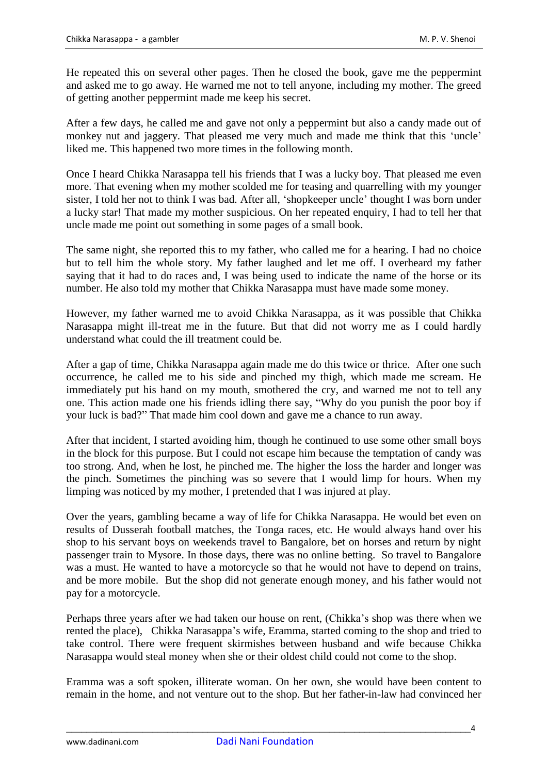He repeated this on several other pages. Then he closed the book, gave me the peppermint and asked me to go away. He warned me not to tell anyone, including my mother. The greed of getting another peppermint made me keep his secret.

After a few days, he called me and gave not only a peppermint but also a candy made out of monkey nut and jaggery. That pleased me very much and made me think that this "uncle" liked me. This happened two more times in the following month.

Once I heard Chikka Narasappa tell his friends that I was a lucky boy. That pleased me even more. That evening when my mother scolded me for teasing and quarrelling with my younger sister, I told her not to think I was bad. After all, "shopkeeper uncle" thought I was born under a lucky star! That made my mother suspicious. On her repeated enquiry, I had to tell her that uncle made me point out something in some pages of a small book.

The same night, she reported this to my father, who called me for a hearing. I had no choice but to tell him the whole story. My father laughed and let me off. I overheard my father saying that it had to do races and, I was being used to indicate the name of the horse or its number. He also told my mother that Chikka Narasappa must have made some money.

However, my father warned me to avoid Chikka Narasappa, as it was possible that Chikka Narasappa might ill-treat me in the future. But that did not worry me as I could hardly understand what could the ill treatment could be.

After a gap of time, Chikka Narasappa again made me do this twice or thrice. After one such occurrence, he called me to his side and pinched my thigh, which made me scream. He immediately put his hand on my mouth, smothered the cry, and warned me not to tell any one. This action made one his friends idling there say, "Why do you punish the poor boy if your luck is bad?" That made him cool down and gave me a chance to run away.

After that incident, I started avoiding him, though he continued to use some other small boys in the block for this purpose. But I could not escape him because the temptation of candy was too strong. And, when he lost, he pinched me. The higher the loss the harder and longer was the pinch. Sometimes the pinching was so severe that I would limp for hours. When my limping was noticed by my mother, I pretended that I was injured at play.

Over the years, gambling became a way of life for Chikka Narasappa. He would bet even on results of Dusserah football matches, the Tonga races, etc. He would always hand over his shop to his servant boys on weekends travel to Bangalore, bet on horses and return by night passenger train to Mysore. In those days, there was no online betting. So travel to Bangalore was a must. He wanted to have a motorcycle so that he would not have to depend on trains, and be more mobile. But the shop did not generate enough money, and his father would not pay for a motorcycle.

Perhaps three years after we had taken our house on rent, (Chikka's shop was there when we rented the place), Chikka Narasappa"s wife, Eramma, started coming to the shop and tried to take control. There were frequent skirmishes between husband and wife because Chikka Narasappa would steal money when she or their oldest child could not come to the shop.

Eramma was a soft spoken, illiterate woman. On her own, she would have been content to remain in the home, and not venture out to the shop. But her father-in-law had convinced her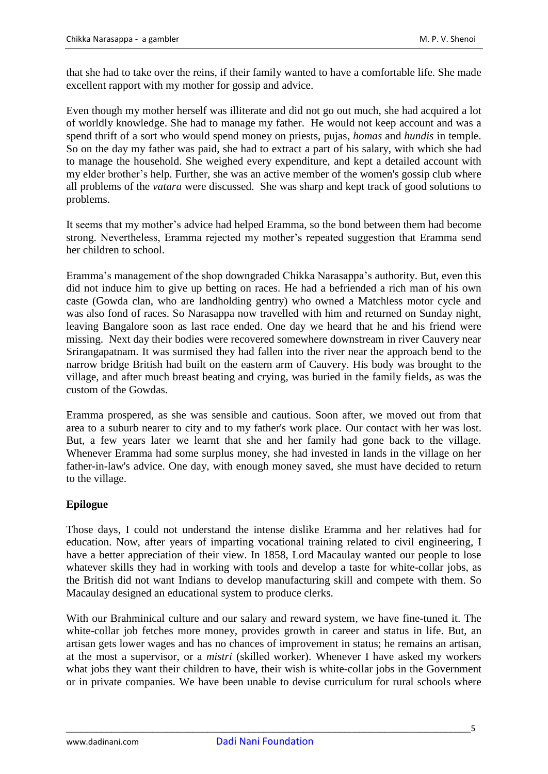that she had to take over the reins, if their family wanted to have a comfortable life. She made excellent rapport with my mother for gossip and advice.

Even though my mother herself was illiterate and did not go out much, she had acquired a lot of worldly knowledge. She had to manage my father. He would not keep account and was a spend thrift of a sort who would spend money on priests, pujas, *homas* and *hundis* in temple. So on the day my father was paid, she had to extract a part of his salary, with which she had to manage the household. She weighed every expenditure, and kept a detailed account with my elder brother"s help. Further, she was an active member of the women's gossip club where all problems of the *vatara* were discussed. She was sharp and kept track of good solutions to problems.

It seems that my mother"s advice had helped Eramma, so the bond between them had become strong. Nevertheless, Eramma rejected my mother"s repeated suggestion that Eramma send her children to school.

Eramma"s management of the shop downgraded Chikka Narasappa"s authority. But, even this did not induce him to give up betting on races. He had a befriended a rich man of his own caste (Gowda clan, who are landholding gentry) who owned a Matchless motor cycle and was also fond of races. So Narasappa now travelled with him and returned on Sunday night, leaving Bangalore soon as last race ended. One day we heard that he and his friend were missing. Next day their bodies were recovered somewhere downstream in river Cauvery near Srirangapatnam. It was surmised they had fallen into the river near the approach bend to the narrow bridge British had built on the eastern arm of Cauvery. His body was brought to the village, and after much breast beating and crying, was buried in the family fields, as was the custom of the Gowdas.

Eramma prospered, as she was sensible and cautious. Soon after, we moved out from that area to a suburb nearer to city and to my father's work place. Our contact with her was lost. But, a few years later we learnt that she and her family had gone back to the village. Whenever Eramma had some surplus money, she had invested in lands in the village on her father-in-law's advice. One day, with enough money saved, she must have decided to return to the village.

## **Epilogue**

Those days, I could not understand the intense dislike Eramma and her relatives had for education. Now, after years of imparting vocational training related to civil engineering, I have a better appreciation of their view. In 1858, Lord Macaulay wanted our people to lose whatever skills they had in working with tools and develop a taste for white-collar jobs, as the British did not want Indians to develop manufacturing skill and compete with them. So Macaulay designed an educational system to produce clerks.

With our Brahminical culture and our salary and reward system, we have fine-tuned it. The white-collar job fetches more money, provides growth in career and status in life. But, an artisan gets lower wages and has no chances of improvement in status; he remains an artisan, at the most a supervisor, or a *mistri* (skilled worker). Whenever I have asked my workers what jobs they want their children to have, their wish is white-collar jobs in the Government or in private companies. We have been unable to devise curriculum for rural schools where